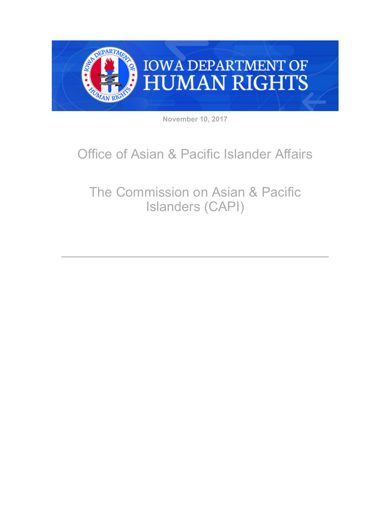

**November 10, 2017**

## Office of Asian & Pacific Islander Affairs

## The Commission on Asian & Pacific Islanders (CAPI)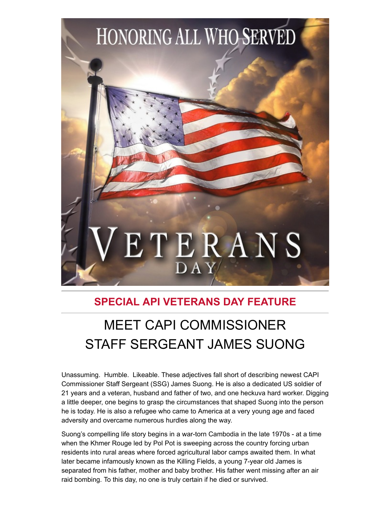

## **SPECIAL API VETERANS DAY FEATURE**

## MEET CAPI COMMISSIONER STAFF SERGEANT JAMES SUONG

Unassuming. Humble. Likeable. These adjectives fall short of describing newest CAPI Commissioner Staff Sergeant (SSG) James Suong. He is also a dedicated US soldier of 21 years and a veteran, husband and father of two, and one heckuva hard worker. Digging a little deeper, one begins to grasp the circumstances that shaped Suong into the person he is today. He is also a refugee who came to America at a very young age and faced adversity and overcame numerous hurdles along the way.

Suong's compelling life story begins in a war-torn Cambodia in the late 1970s - at a time when the Khmer Rouge led by Pol Pot is sweeping across the country forcing urban residents into rural areas where forced agricultural labor camps awaited them. In what later became infamously known as the Killing Fields, a young 7-year old James is separated from his father, mother and baby brother. His father went missing after an air raid bombing. To this day, no one is truly certain if he died or survived.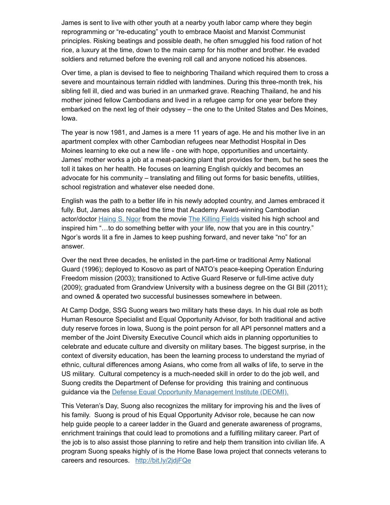James is sent to live with other youth at a nearby youth labor camp where they begin reprogramming or "re-educating" youth to embrace Maoist and Marxist Communist principles. Risking beatings and possible death, he often smuggled his food ration of hot rice, a luxury at the time, down to the main camp for his mother and brother. He evaded soldiers and returned before the evening roll call and anyone noticed his absences.

Over time, a plan is devised to flee to neighboring Thailand which required them to cross a severe and mountainous terrain riddled with landmines. During this three-month trek, his sibling fell ill, died and was buried in an unmarked grave. Reaching Thailand, he and his mother joined fellow Cambodians and lived in a refugee camp for one year before they embarked on the next leg of their odyssey – the one to the United States and Des Moines, Iowa.

The year is now 1981, and James is a mere 11 years of age. He and his mother live in an apartment complex with other Cambodian refugees near Methodist Hospital in Des Moines learning to eke out a new life - one with hope, opportunities and uncertainty. James' mother works a job at a meat-packing plant that provides for them, but he sees the toll it takes on her health. He focuses on learning English quickly and becomes an advocate for his community – translating and filling out forms for basic benefits, utilities, school registration and whatever else needed done.

English was the path to a better life in his newly adopted country, and James embraced it fully. But, James also recalled the time that Academy Award-winning Cambodian actor/doctor [Haing S. Ngor](http://articles.latimes.com/1996-02-27/news/mn-40625_1_killing-fields?utm_medium=email&utm_source=govdelivery) from the movie [The Killing Fields](http://www.tcm.com/this-month/article/196858%7C0/The-Killing-Fields.html?utm_medium=email&utm_source=govdelivery) visited his high school and inspired him "…to do something better with your life, now that you are in this country." Ngor's words lit a fire in James to keep pushing forward, and never take "no" for an answer.

Over the next three decades, he enlisted in the part-time or traditional Army National Guard (1996); deployed to Kosovo as part of NATO's peace-keeping Operation Enduring Freedom mission (2003); transitioned to Active Guard Reserve or full-time active duty (2009); graduated from Grandview University with a business degree on the GI Bill (2011); and owned & operated two successful businesses somewhere in between.

At Camp Dodge, SSG Suong wears two military hats these days. In his dual role as both Human Resource Specialist and Equal Opportunity Advisor, for both traditional and active duty reserve forces in Iowa, Suong is the point person for all API personnel matters and a member of the Joint Diversity Executive Council which aids in planning opportunities to celebrate and educate culture and diversity on military bases. The biggest surprise, in the context of diversity education, has been the learning process to understand the myriad of ethnic, cultural differences among Asians, who come from all walks of life, to serve in the US military. Cultural competency is a much-needed skill in order to do the job well, and Suong credits the Department of Defense for providing this training and continuous guidance via the [Defense Equal Opportunity Management Institute \(DEOMI\).](https://www.deomi.org/?utm_medium=email&utm_source=govdelivery)

This Veteran's Day, Suong also recognizes the military for improving his and the lives of his family. Suong is proud of his Equal Opportunity Advisor role, because he can now help guide people to a career ladder in the Guard and generate awareness of programs, enrichment trainings that could lead to promotions and a fulfilling military career. Part of the job is to also assist those planning to retire and help them transition into civilian life. A program Suong speaks highly of is the Home Base Iowa project that connects veterans to careers and resources. [http://bit.ly/2jdjFQe](http://bit.ly/2jdjFQe?utm_medium=email&utm_source=govdelivery)